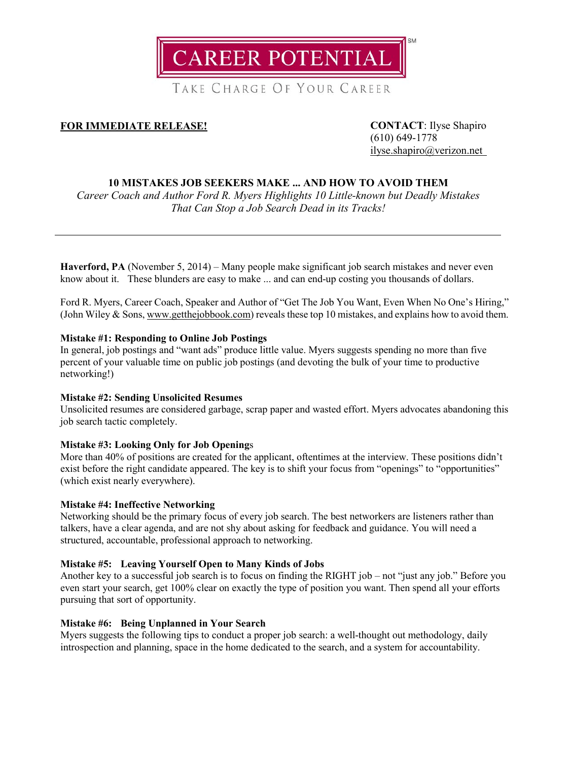

TAKE CHARGE OF YOUR CAREER

# **FOR IMMEDIATE RELEASE! CONTACT**: Ilyse Shapiro

(610) 649-1778 [ilyse.shapiro@verizon.net](mailto:ilyse.shapiro@verizon.net)

# **10 MISTAKES JOB SEEKERS MAKE ... AND HOW TO AVOID THEM**

*Career Coach and Author Ford R. Myers Highlights 10 Little-known but Deadly Mistakes That Can Stop a Job Search Dead in its Tracks!*

**Haverford, PA** (November 5, 2014) – Many people make significant job search mistakes and never even know about it. These blunders are easy to make ... and can end-up costing you thousands of dollars.

Ford R. Myers, Career Coach, Speaker and Author of "Get The Job You Want, Even When No One's Hiring," (John Wiley & Sons, [www.getthejobbook.com\)](http://www.getthejobbook.com/) reveals these top 10 mistakes, and explains how to avoid them.

# **Mistake #1: Responding to Online Job Postings**

In general, job postings and "want ads" produce little value. Myers suggests spending no more than five percent of your valuable time on public job postings (and devoting the bulk of your time to productive networking!)

# **Mistake #2: Sending Unsolicited Resumes**

Unsolicited resumes are considered garbage, scrap paper and wasted effort. Myers advocates abandoning this job search tactic completely.

# **Mistake #3: Looking Only for Job Opening**s

More than 40% of positions are created for the applicant, oftentimes at the interview. These positions didn't exist before the right candidate appeared. The key is to shift your focus from "openings" to "opportunities" (which exist nearly everywhere).

# **Mistake #4: Ineffective Networking**

Networking should be the primary focus of every job search. The best networkers are listeners rather than talkers, have a clear agenda, and are not shy about asking for feedback and guidance. You will need a structured, accountable, professional approach to networking.

# **Mistake #5: Leaving Yourself Open to Many Kinds of Jobs**

Another key to a successful job search is to focus on finding the RIGHT job – not "just any job." Before you even start your search, get 100% clear on exactly the type of position you want. Then spend all your efforts pursuing that sort of opportunity.

# **Mistake #6: Being Unplanned in Your Search**

Myers suggests the following tips to conduct a proper job search: a well-thought out methodology, daily introspection and planning, space in the home dedicated to the search, and a system for accountability.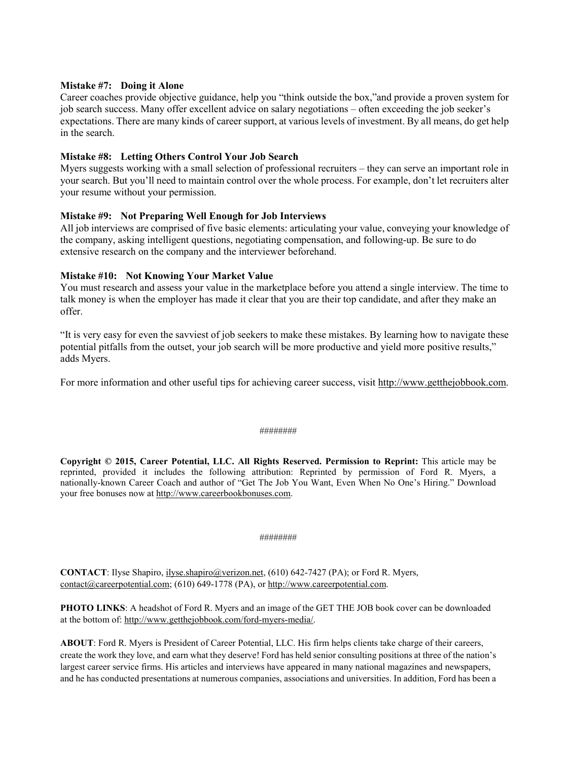#### **Mistake #7: Doing it Alone**

Career coaches provide objective guidance, help you "think outside the box,"and provide a proven system for job search success. Many offer excellent advice on salary negotiations – often exceeding the job seeker's expectations. There are many kinds of career support, at various levels of investment. By all means, do get help in the search.

#### **Mistake #8: Letting Others Control Your Job Search**

Myers suggests working with a small selection of professional recruiters – they can serve an important role in your search. But you'll need to maintain control over the whole process. For example, don't let recruiters alter your resume without your permission.

#### **Mistake #9: Not Preparing Well Enough for Job Interviews**

All job interviews are comprised of five basic elements: articulating your value, conveying your knowledge of the company, asking intelligent questions, negotiating compensation, and following-up. Be sure to do extensive research on the company and the interviewer beforehand.

#### **Mistake #10: Not Knowing Your Market Value**

You must research and assess your value in the marketplace before you attend a single interview. The time to talk money is when the employer has made it clear that you are their top candidate, and after they make an offer.

"It is very easy for even the savviest of job seekers to make these mistakes. By learning how to navigate these potential pitfalls from the outset, your job search will be more productive and yield more positive results," adds Myers.

For more information and other useful tips for achieving career success, visit [http://www.getthejobbook.com.](http://www.getthejobbook.com/)

#### ########

**Copyright © 2015, Career Potential, LLC. All Rights Reserved. Permission to Reprint:** This article may be reprinted, provided it includes the following attribution: Reprinted by permission of Ford R. Myers, a nationally-known Career Coach and author of "Get The Job You Want, Even When No One's Hiring." Download your free bonuses now at [http://www.careerbookbonuses.com.](http://www.careerbookbonuses.com/)

#### ########

**CONTACT**: Ilyse Shapiro, *ilyse.shapiro@verizon.net,* (610) 642-7427 (PA); or Ford R. Myers, [contact@careerpotential.com;](mailto:contact@careerpotential.com) (610) 649-1778 (PA), o[r http://www.careerpotential.com.](http://www.careerpotential.com/)

**PHOTO LINKS**: A headshot of Ford R. Myers and an image of the GET THE JOB book cover can be downloaded at the bottom of[: http://www.getthejobbook.com/ford-myers-media/.](http://www.getthejobbook.com/ford-myers-media/) 

**ABOUT**: Ford R. Myers is President of Career Potential, LLC. His firm helps clients take charge of their careers, create the work they love, and earn what they deserve! Ford has held senior consulting positions at three of the nation's largest career service firms. His articles and interviews have appeared in many national magazines and newspapers, and he has conducted presentations at numerous companies, associations and universities. In addition, Ford has been a